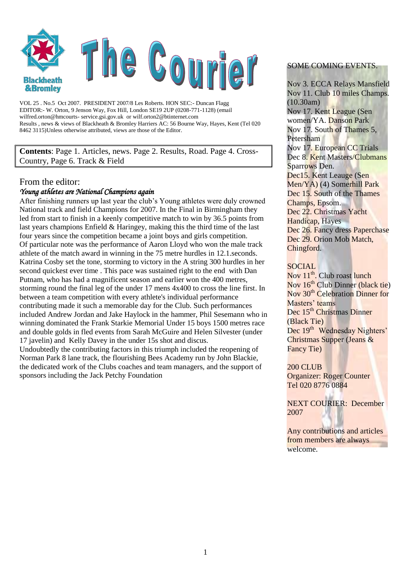

VOL 25 . No.5 Oct 2007. PRESIDENT 2007/8 Les Roberts. HON SEC:- Duncan Flagg EDITOR:- W. Orton, 9 Jenson Way, Fox Hill, London SE19 2UP (0208-771-1128) (email wilfred.orton@hmcourts- service.gsi.gov.uk or wilf.orton2@btinternet.com Results , news & views of Blackheath & Bromley Harriers AC: 56 Bourne Way, Hayes, Kent (Tel 020 8462 3115)Unless otherwise attributed, views are those of the Editor.

**Contents**: Page 1. Articles, news. Page 2. Results, Road. Page 4. Cross-Country, Page 6. Track & Field

#### From the editor:

#### *Young athletes are National Champions again*

After finishing runners up last year the club's Young athletes were duly crowned National track and field Champions for 2007. In the Final in Birmingham they led from start to finish in a keenly competitive match to win by 36.5 points from last years champions Enfield & Haringey, making this the third time of the last four years since the competition became a joint boys and girls competition. Of particular note was the performance of Aaron Lloyd who won the male track athlete of the match award in winning in the 75 metre hurdles in 12.1.seconds. Katrina Cosby set the tone, storming to victory in the A string 300 hurdles in her second quickest ever time . This pace was sustained right to the end with Dan Putnam, who has had a magnificent season and earlier won the 400 metres, storming round the final leg of the under 17 mens 4x400 to cross the line first. In between a team competition with every athlete's individual performance contributing made it such a memorable day for the Club. Such performances included Andrew Jordan and Jake Haylock in the hammer, Phil Sesemann who in winning dominated the Frank Starkie Memorial Under 15 boys 1500 metres race and double golds in fled events from Sarah McGuire and Helen Silvester (under 17 javelin) and Kelly Davey in the under 15s shot and discus.

Undoubtedly the contributing factors in this triumph included the reopening of Norman Park 8 lane track, the flourishing Bees Academy run by John Blackie, the dedicated work of the Clubs coaches and team managers, and the support of sponsors including the Jack Petchy Foundation

#### SOME COMING EVENTS.

Nov 3. ECCA Relays Mansfield Nov 11. Club 10 miles Champs. (10.30am) Nov 17. Kent League (Sen women/YA. Danson Park Nov 17. South of Thames 5, Petersham Nov 17. European CC Trials Dec 8. Kent Masters/Clubmans Sparrows Den. Dec15. Kent Leauge (Sen Men/YA) (4) Somerhill Park Dec 15. South of the Thames Champs, Epsom. Dec 22. Christmas Yacht Handicap, Hayes Dec 26. Fancy dress Paperchase Dec 29. Orion Mob Match. Chingford.

#### SOCIAL.

Nov  $11^{th}$ . Club roast lunch Nov  $16<sup>th</sup>$  Club Dinner (black tie) Nov 30<sup>th</sup> Celebration Dinner for Masters' teams Dec 15<sup>th</sup> Christmas Dinner (Black Tie) Dec 19<sup>th</sup> Wednesday Nighters' Christmas Supper (Jeans & Fancy Tie)

#### 200 CLUB

Organizer: Roger Counter Tel 020 8776 0884

NEXT COURIER: December 2007

Any contributions and articles from members are always welcome.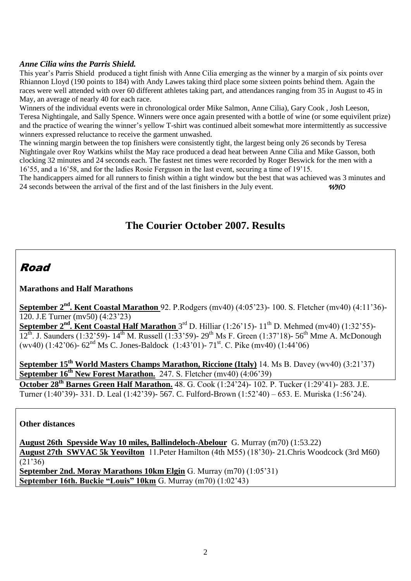#### *Anne Cilia wins the Parris Shield.*

This year's Parris Shield produced a tight finish with Anne Cilia emerging as the winner by a margin of six points over Rhiannon Lloyd (190 points to 184) with Andy Lawes taking third place some sixteen points behind them. Again the races were well attended with over 60 different athletes taking part, and attendances ranging from 35 in August to 45 in May, an average of nearly 40 for each race.

Winners of the individual events were in chronological order Mike Salmon, Anne Cilia), Gary Cook , Josh Leeson, Teresa Nightingale, and Sally Spence. Winners were once again presented with a bottle of wine (or some equivilent prize) and the practice of wearing the winner's yellow T-shirt was continued albeit somewhat more intermittently as successive winners expressed reluctance to receive the garment unwashed.

The winning margin between the top finishers were consistently tight, the largest being only 26 seconds by Teresa Nightingale over Roy Watkins whilst the May race produced a dead heat between Anne Cilia and Mike Gasson, both clocking 32 minutes and 24 seconds each. The fastest net times were recorded by Roger Beswick for the men with a 16'55, and a 16'58, and for the ladies Rosie Ferguson in the last event, securing a time of 19'15.

The handicappers aimed for all runners to finish within a tight window but the best that was achieved was 3 minutes and 24 seconds between the arrival of the first and of the last finishers in the July event. *WHO* 

# **The Courier October 2007. Results**

# Road

#### **Marathons and Half Marathons**

**September 2nd. Kent Coastal Marathon** 92. P.Rodgers (mv40) (4:05'23)- 100. S. Fletcher (mv40) (4:11'36)- 120. J.E Turner (mv50) (4:23'23)

September 2<sup>nd</sup>. Kent Coastal Half Marathon 3<sup>rd</sup> D. Hilliar (1:26'15)- 11<sup>th</sup> D. Mehmed (mv40) (1:32'55)- $12^{th}$ . J. Saunders (1:32'59)-  $14^{th}$  M. Russell (1:33'59)-  $29^{th}$  Ms F. Green (1:37'18)- 56<sup>th</sup> Mme A. McDonough (wv40) (1:42'06)-  $62<sup>nd</sup>$  Ms C. Jones-Baldock (1:43'01)-  $71<sup>st</sup>$ . C. Pike (mv40) (1:44'06)

**September 15th World Masters Champs Marathon, Riccione (Italy)** 14. Ms B. Davey (wv40) (3:21'37) **September 16<sup>th</sup> New Forest Marathon.** 247. S. Fletcher (mv40) (4:06'39)

**October 28th Barnes Green Half Marathon.** 48. G. Cook (1:24'24)- 102. P. Tucker (1:29'41)- 283. J.E. Turner (1:40'39)- 331. D. Leal (1:42'39)- 567. C. Fulford-Brown (1:52'40) – 653. E. Muriska (1:56'24).

### **Other distances**

**August 26th Speyside Way 10 miles, Ballindeloch-Abelour** G. Murray (m70) (1:53.22) **August 27th SWVAC 5k Yeovilton** 11.Peter Hamilton (4th M55) (18'30)- 21.Chris Woodcock (3rd M60) (21'36) **September 2nd. Moray Marathons 10km Elgin** G. Murray (m70) (1:05'31)

**September 16th. Buckie "Louis" 10km** G. Murray (m70) (1:02'43)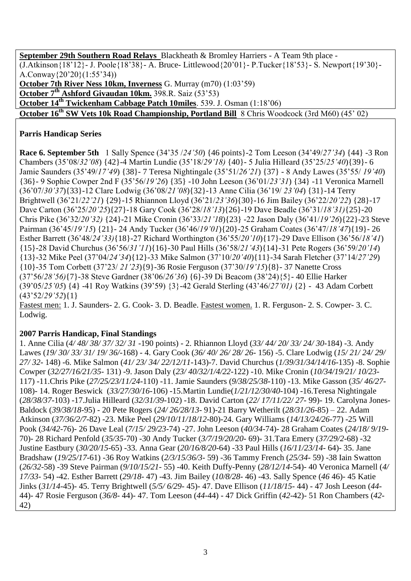**September 29th Southern Road Relays** Blackheath & Bromley Harriers - A Team 9th place - (J.Atkinson{18'12}- J. Poole{18'38}- A. Bruce- Littlewood{20'01}- P.Tucker{18'53}- S. Newport{19'30}- A.Conway{20'20}(1:55'34)) **October 7th River Ness 10km, Inverness** G. Murray (m70) (1:03'59) **October 7th Ashford Givaudan 10km.** 398.R. Saiz (53'53) **October 14th Twickenham Cabbage Patch 10miles**. 539. J. Osman (1:18'06) **October 16<sup>th</sup> SW Vets 10k Road Championship, Portland Bill** 8 Chris Woodcock (3rd M60) (45' 02)

### **Parris Handicap Series**

**Race 6. September 5th** 1 Sally Spence (34'35 /*24'50*) {46 points}-2 Tom Leeson (34'49/*27'34*) {44} -3 Ron Chambers (35'08/*32'08*) {42}-4 Martin Lundie (35'18/*29'18)* {40}- 5 Julia Hilleard (35'25/*25'40*){39}- 6 Jamie Saunders (35'49/*17'49*) {38}- 7 Teresa Nightingale (35'51/*26'21*) {37} - 8 Andy Lawes (35'55/ *19'40*) {36}- 9 Sophie Cowper 2nd F (35'56/*19'26*) {35} -10 John Leeson (36'01/*23'31*) {34} -11 Veronica Marnell (36'07/*30'37*){33}-12 Clare Lodwig (36'08/*21'08*){32}-13 Anne Cilia (36'19/ *23'04*) {31}-14 Terry Brightwell (36'21/*22'21*) {29}-15 Rhiannon Lloyd (36'21/*23'36*){30}-16 Jim Bailey (36'22/*20'22*) {28}-17 Dave Carton (36'25/*20'25*){27}-18 Gary Cook (36'28/*18'13*){26}-19 Dave Beadle (36'31/*18'31)*{25}-20 Chris Pike (36'32/*20'32)* {24}-21 Mike Cronin (36'33/*21'18*){23} -22 Jason Daly (36'41/*19'26*){22}-23 Steve Pairman (36'45/*19'15*) {21}- 24 Andy Tucker (36'46/*19'01*){20}-25 Graham Coates (36'47/*18'47*){19}- 26 Esther Barrett (36'48/*24'33)*{18}-27 Richard Worthington (36'55/*20'10*){17}-29 Dave Ellison (36'56/*18'41*) {15}-28 David Churchus (36'56/*31'11*){16}-30 Paul Hills (36'58/*21'43*){14}-31 Pete Rogers (36'59/*20'14*) {13}-32 Mike Peel (37'04/*24'34*){12}-33 Mike Salmon (37'10/*20'40*){11}-34 Sarah Fletcher (37'14/*27'29*) {10}-35 Tom Corbett (37'23/ *21'23*){9}-36 Rosie Ferguson (37'30/*19'15*){8}- 37 Nanette Cross (37'56/*28'56)*{7}-38 Steve Gardner (38'06/*26'36*) {6}-39 Di Beacom (38'24){5}- 40 Ellie Harker (39'05/*25'05*) {4} -41 Roy Watkins (39'59) {3}-42 Gerald Sterling (43'46/*27'01)* {2} - 43 Adam Corbett (43'52/*29'52*){1}

Fastest men: 1. J. Saunders- 2. G. Cook- 3. D. Beadle. Fastest women. 1. R. Ferguson- 2. S. Cowper- 3. C. Lodwig.

### **2007 Parris Handicap, Final Standings**

1. Anne Cilia (*4/ 48/ 38/ 37/ 32/ 31* -190 points) - 2. Rhiannon Lloyd (*33/ 44/ 20/ 33/ 24/ 30*-184) -3. Andy Lawes (*19/ 30/ 33/ 31/ 19/ 36/-*168) - 4. Gary Cook (*36/ 40/ 26/ 28/ 26-* 156) -5. Clare Lodwig (*15/ 21/ 24/ 29/ 27/ 32-* 148) -6. Mike Salmon (*41/ 23/ 34/ 22/12/11-*143)-7. David Churchus (*1/39/31/34/14/16-*135) -8. Sophie Cowper (*32/27/16/21/35-* 131) -9. Jason Daly (*23/ 40/32/1/4/22*-122) -10. Mike Cronin (*10/34/19/21/ 10/23*- 117) -11.Chris Pike (*27/25/23/11/24-*110) -11. Jamie Saunders (*9/38/25/38-*110) -13. Mike Gasson (*35/ 46/27-* 108)- 14. Roger Beswick (*33/27/30/16*-106) -15.Martin Lundie(*1/21/12/30/40-*104) -16.Teresa Nightingale (*28/38/37*-103) -17.Julia Hilleard (*32/31/39-*102) -18. David Carton (*22/ 17/11/22/ 27*- 99)- 19. Carolyna Jones-Baldock (*39/38/18-*95) - 20 Pete Rogers (*24/ 26/28/13-* 91)-21 Barry Wetherilt (*28/31/26*-85) – 22. Adam Atkinson (*37/36/2/7-*82) -23. Mike Peel (*29/10/11/18/12*-80)-24. Gary Williams (*14/13/24/26*-77) -25 Will Pook (*34/42*-76)- 26 Dave Leal (*7/15/ 29/23*-74) -27. John Leeson (*40/34*-74)- 28 Graham Coates (*24/18/ 9/19*- 70)- 28 Richard Penfold (*35/35*-70) -30 Andy Tucker (*3/7/19/20/20*- 69)- 31.Tara Emery (*37/29/2-*68) -32 Justine Eastbury (*30/20/15*-65) -33. Anna Gear (*20/16/8/20*-64) -33 Paul Hills (*16/11/23/14*- 64)- 35. Jane Bradshaw (*19/25/17-*61) -36 Roy Watkins (*2/3/15/36/3-* 59) -36 Tammy French (*25/34*- 59) -38 Iain Swatton (*26/32*-58) -39 Steve Pairman (*9/10/15/21*- 55) -40. Keith Duffy-Penny (*28/12/14*-54)- 40 Veronica Marnell (*4/ 17/33*- 54) -42. Esther Barrett (*29/18*- 47) -43. Jim Bailey (*10/8/28*- 46) -43. Sally Spence (*46* 46)- 45 Katie Jinks (*31/14*-45)- 45. Terry Brightwell (*5/5/ 6/29*- 45)- 47. Dave Ellison (*11/18/15*- 44) - 47 Josh Leeson (*44*- 44)- 47 Rosie Ferguson (*36/8*- 44)- 47. Tom Leeson (*44*-44) - 47 Dick Griffin (*42*-42)- 51 Ron Chambers (*42*- 42)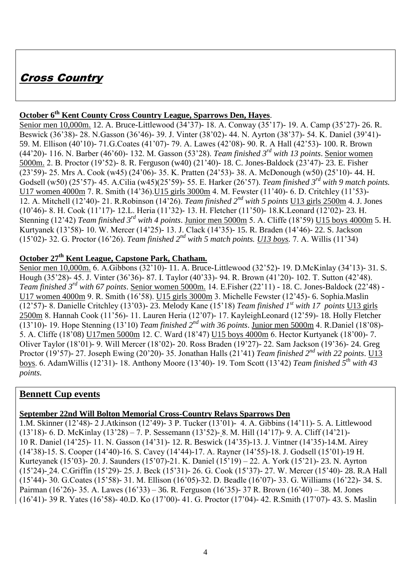# Cross Country

## **October 6th Kent County Cross Country League, Sparrows Den, Hayes**.

Senior men 10,000m. 12. A. Bruce-Littlewood (34'37)- 18. A. Conway (35'17)- 19. A. Camp (35'27)- 26. R. Beswick (36'38)- 28. N.Gasson (36'46)- 39. J. Vinter (38'02)- 44. N. Ayrton (38'37)- 54. K. Daniel (39'41)- 59. M. Ellison (40'10)- 71.G.Coates (41'07)- 79. A. Lawes (42'08)- 90. R. A Hall (42'53)- 100. R. Brown (44'20)- 116. N. Barber (46'60)- 132. M. Gasson (53'28). *Team finished 3rd with 13 points*. Senior women 5000m. 2. B. Proctor (19'52)- 8. R. Ferguson (w40) (21'40)- 18. C. Jones-Baldock (23'47)- 23. E. Fisher (23'59)- 25. Mrs A. Cook (w45) (24'06)- 35. K. Pratten (24'53)- 38. A. McDonough (w50) (25'10)- 44. H. Godsell (w50) (25'57)- 45. A.Cilia (w45)(25'59)- 55. E. Harker (26'57). *Team finished 3rd with 9 match points.* U17 women 4000m 7. R. Smith (14'36).U15 girls 3000m 4. M. Fewster (11'40)- 6. D. Critchley (11'53)- 12. A. Mitchell (12'40)- 21. R.Robinson (14'26). *Team finished 2nd with 5 points* U13 girls 2500m 4. J. Jones (10'46)- 8. H. Cook (11'17)- 12.L. Heria (11'32)- 13. H. Fletcher (11'50)- 18.K.Leonard (12'02)- 23. H. Stenning (12'42) *Team finished 3rd with 4 points*. Junior men 5000m 5. A. Cliffe (18'59) U15 boys 4000m 5. H. Kurtyanek (13'58)- 10. W. Mercer (14'25)- 13. J. Clack (14'35)- 15. R. Braden (14'46)- 22. S. Jackson (15'02)- 32. G. Proctor (16'26). *Team finished 2nd with 5 match points. U13 boys.* 7. A. Willis (11'34)

### **October 27th Kent League, Capstone Park, Chatham.**

Senior men 10,000m. 6. A.Gibbons (32'10)- 11. A. Bruce-Littlewood (32'52)- 19. D.McKinlay (34'13)- 31. S. Hough (35'28)- 45. J. Vinter (36'36)- 87. I. Taylor (40'33)- 94. R. Brown (41'20)- 102. T. Sutton (42'48). *Team finished 3rd with 67 points*. Senior women 5000m. 14. E.Fisher (22'11) - 18. C. Jones-Baldock (22'48) - U17 women 4000m 9. R. Smith (16'58). U15 girls 3000m 3. Michelle Fewster (12'45)- 6. Sophia.Maslin (12'57)- 8. Danielle Critchley (13'03)- 23. Melody Kane (15'18) *Team finished 1st with 17 points* U13 girls 2500m 8. Hannah Cook (11'56)- 11. Lauren Heria (12'07)- 17. KayleighLeonard (12'59)- 18. Holly Fletcher (13'10)- 19. Hope Stenning (13'10) *Team finished*  $2^{nd}$  *with 36 points*. Junior men 5000m 4. R.Daniel (18'08)-5. A. Cliffe (18'08) U17men 5000m 12. C. Ward (18'47) U15 boys 4000m 6. Hector Kurtyanek (18'00)- 7. Oliver Taylor (18'01)- 9. Will Mercer (18'02)- 20. Ross Braden (19'27)- 22. Sam Jackson (19'36)- 24. Greg Proctor (19'57)- 27. Joseph Ewing (20'20)- 35. Jonathan Halls (21'41) *Team finished 2nd with 22 points*. U13 boys. 6. AdamWillis (12'31)- 18. Anthony Moore (13'40)- 19. Tom Scott (13'42) *Team finished 5th with 43 points.*

### **Bennett Cup events**

### **September 22nd Will Bolton Memorial Cross-Country Relays Sparrows Den**

1.M. Skinner (12'48)- 2 J.Atkinson (12'49)- 3 P. Tucker (13'01)- 4. A. Gibbins (14'11)- 5. A. Littlewood (13'18)- 6. D. McKinlay (13'28) – 7. P. Sessemann (13'52)- 8. M. Hill (14'17)- 9. A. Cliff (14'21)- 10 R. Daniel (14'25)- 11. N. Gasson (14'31)- 12. R. Beswick (14'35)-13. J. Vintner (14'35)-14.M. Airey (14'38)-15. S. Cooper (14'40)-16. S. Cavey (14'44)-17. A. Rayner (14'55)-18. J. Godsell (15'01)-19 H. Kurteyanek (15'03)- 20. J. Saunders (15'07)-21. K. Daniel (15'19) – 22. A. York (15'21)- 23. N. Ayrton (15'24)- 24. C.Griffin (15'29)- 25. J. Beck (15'31)- 26. G. Cook (15'37)- 27. W. Mercer (15'40)- 28. R.A Hall (15'44)- 30. G.Coates (15'58)- 31. M. Ellison (16'05)-32. D. Beadle (16'07)- 33. G. Williams (16'22)- 34. S. Pairman (16'26)- 35. A. Lawes (16'33) – 36. R. Ferguson (16'35)- 37 R. Brown (16'40) – 38. M. Jones (16'41)- 39 R. Yates (16'58)- 40.D. Ko (17'00)- 41. G. Proctor (17'04)- 42. R.Smith (17'07)- 43. S. Maslin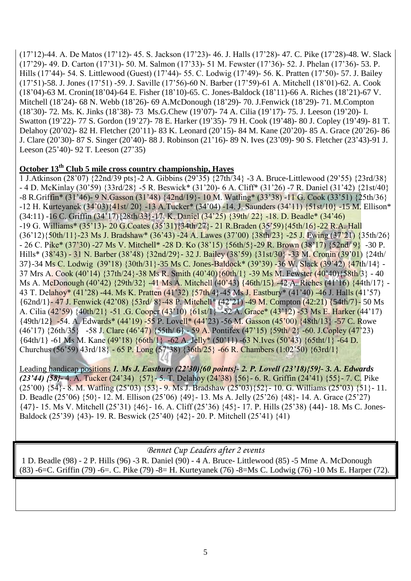(17'12)-44. A. De Matos (17'12)- 45. S. Jackson (17'23)- 46. J. Halls (17'28)- 47. C. Pike (17'28)-48. W. Slack (17'29)- 49. D. Carton (17'31)- 50. M. Salmon (17'33)- 51 M. Fewster (17'36)- 52. J. Phelan (17'36)- 53. P. Hills (17'44)- 54. S. Littlewood (Guest) (17'44)- 55. C. Lodwig (17'49)- 56. K. Pratten (17'50)- 57. J. Bailey (17'51)-58. J. Jones (17'51) -59. J. Saville (17'56)-60 N. Barber (17'59)-61 A. Mitchell (18'01)-62. A. Cook (18'04)-63 M. Cronin(18'04)-64 E. Fisher (18'10)-65. C. Jones-Baldock (18'11)-66 A. Riches (18'21)-67 V. Mitchell (18'24)- 68 N. Webb (18'26)- 69 A.McDonough (18'29)- 70. J.Fenwick (18'29)- 71. M.Compton (18'30)- 72. Ms. K. Jinks (18'38)- 73 Ms.G.Chew (19'07)- 74 A. Cilia (19'17)- 75. J. Leeson (19'20)- I. Swatton (19'22)- 77 S. Gordon (19'27)- 78 E. Harker (19'35)- 79 H. Cook (19'48)- 80 J. Copley (19'49)- 81 T. Delahoy (20'02)- 82 H. Fletcher (20'11)- 83 K. Leonard (20'15)- 84 M. Kane (20'20)- 85 A. Grace (20'26)- 86 J. Clare (20'30)- 87 S. Singer (20'40)- 88 J. Robinson (21'16)- 89 N. Ives (23'09)- 90 S. Fletcher (23'43)-91 J. Leeson (25'40)- 92 T. Leeson (27'35)

### **October 13th Club 5 mile cross country championship, Hayes**

1 J.Atkinson (28'07) {22nd/39 pts}-2 A. Gibbins (29'35) {27th/34} -3 A. Bruce-Littlewood (29'55) {23rd/38} - 4 D. McKinlay (30'59) {33rd/28} -5 R. Beswick\* (31'20)- 6 A. Cliff\* (31'26) -7 R. Daniel (31'42) {21st/40} -8 R.Griffin\* (31'46)- 9 N.Gasson (31'48) {42nd/19}- 10 M. Watling\* (33'38) -11 G. Cook (33'51) {25th/36} -12 H. Kurteyanek (34'03){41st/ 20} -13 A.Tucker\* (34'04) -14. J. Saunders (34'11) {51st/10} -15 M. Ellison\* (34:11) -16 C. Griffin (34'17){28th/33}-17. K. Daniel (34'25) {39th/ 22} -18. D. Beadle\* (34'46) -19 G. Williams\* (35'13)- 20 G.Coates (35'31){34th/27}- 21 R.Braden (35'59){45th/16}-22 R.A. Hall (36'12){50th/11}-23 Ms J. Bradshaw\* (36'43) -24 A. Lawes (37'00) {38th/23} -25 J. Ewing (37'21) {35th/26}  $- 26$  C. Pike\* (37'30) -27 Ms V. Mitchell\* -28 D. Ko (38'15) {56th/5}-29 R. Brown (38'17) {52nd/ 9} -30 P. Hills\* (38'43) - 31 N. Barber (38'48) {32nd/29}- 32 J. Bailey (38'59) {31st/30} -33 M. Cronin (39'01) {24th/ 37}-34 Ms C. Lodwig (39'18) {30th/31}-35 Ms C. Jones-Baldock\* (39'39) -36 W. Slack (39'42) {47th/14} - 37 Mrs A. Cook (40'14) {37th/24}-38 Ms R. Smith (40'40){60th/1} -39 Ms M. Fewster (40'40){58th/3} - 40 Ms A. McDonough (40'42) {29th/32} -41 Ms A. Mitchell (40'43) {46th/15} -42 A. Riches (41'16) {44th/17} - 43 T. Delahoy\* (41'28) -44. Ms K. Pratten (41'32) {57th/4}-45 Ms J. Eastbury\* (41'40) -46 J. Halls (41'57) {62nd/1}- 47 J. Fenwick (42'08) {53rd/ 8}-48 P. Mitchell\* (42'21) -49 M. Compton (42:21) {54th/7}- 50 Ms A. Cilia (42'59) {40th/21} -51 .G. Cooper (43'10) {61st/1} -52 A. Grace\* (43'12) -53 Ms E. Harker (44'17) {49th/12} -54. A. Edwards\* (44'19) -55 P. Lovell\* (44'23) -56 M. Gasson (45'00) {48th/13} -57 C. Rowe (46'17) {26th/35} -58 J. Clare (46'47) {55th/ 6} - 59 A. Pontifex (47'15) {59th/ 2} -60. J.Copley (47'23) {64th/1} -61 Ms M. Kane (49'18) {66th/1} -62 A. Jelly\* (50'11) -63 N.Ives (50'43) {65tht/1} -64 D. Churchus (56'59) 43rd/18} - 65 P. Long (57'38) {36th/25} -66 R. Chambers (1:02'50) {63rd/1}

Leading handicap positions *1. Ms J. Eastbury (22'30){60 points}- 2. P. Lovell (23'18){59}- 3. A. Edwards (23'44) {58}-* 4. A. Tucker (24'34) {57}- 5. T. Delahoy (24'38) {56}- 6. R. Griffin (24'41) {55}- 7. C. Pike  $(25'00)$  {54}- 8. M. Watling  $(25'03)$  {53}- 9. Ms J. Bradshaw  $(25'03)$  {52}- 10. G. Williams  $(25'03)$  {51}- 11. D. Beadle (25'06) {50}- 12. M. Ellison (25'06) {49}- 13. Ms A. Jelly (25'26) {48}- 14. A. Grace (25'27) {47}- 15. Ms V. Mitchell (25'31) {46}- 16. A. Cliff (25'36) {45}- 17. P. Hills (25'38) {44}- 18. Ms C. Jones-Baldock (25'39) {43)- 19. R. Beswick (25'40) {42}- 20. P. Mitchell (25'41) {41)

*Bennet Cup Leaders after 2 events* 

1 D. Beadle (98) - 2 P. Hills (96) -3 R. Daniel (90) - 4 A. Bruce- Littlewood (85) -5 Mme A. McDonough (83) -6=C. Griffin (79) -6=. C. Pike (79) -8= H. Kurteyanek (76) -8=Ms C. Lodwig (76) -10 Ms E. Harper (72).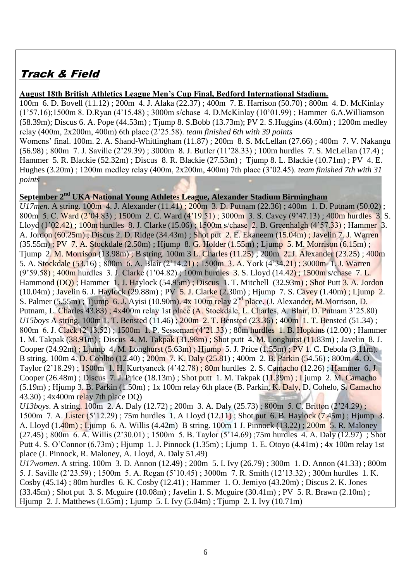# Track & Field

#### **August 18th British Athletics League Men's Cup Final, Bedford International Stadium.**

100m 6. D. Bovell (11.12) ; 200m 4. J. Alaka (22.37) ; 400m 7. E. Harrison (50.70) ; 800m 4. D. McKinlay (1'57.16);1500m 8. D.Ryan (4'15.48) ; 3000m s/chase 4. D.McKinlay (10'01.99) ; Hammer 6.A.Williamson (58.39m); Discus 6. A. Pope (44.53m) ; Tjump 8. S.Bobb (13.73m); PV 2. S.Huggins (4.60m) ; 1200m medley relay (400m, 2x200m, 400m) 6th place (2'25.58). *team finished 6th with 39 points*

Womens' final. 100m. 2. A. Shand-Whittingham (11.87) ; 200m 8. S. McLellan (27.66) ; 400m 7. V. Nakangu (56.98) ; 800m 7. J. Saville (2'29.39) ; 3000m 8. J. Butler (11'28.33) ; 100m hurdles 7. S. McLellan (17.4) ; Hammer 5. R. Blackie (52.32m) ; Discus 8. R. Blackie (27.53m) ; Tjump 8. L. Blackie (10.71m) ; PV 4. E. Hughes (3.20m) ; 1200m medley relay (400m, 2x200m, 400m) 7th place (3'02.45). *team finished 7th with 31 points*

## **September 2nd UKA National Young Athletes League, Alexander Stadium Birmingham**

*U17men*. A string. 100m 4. J. Alexander (11.41); 200m 3. D. Putnam (22.36); 400m 1. D. Putnam (50.02); 800m 5. C. Ward (2'04.83) ; 1500m 2. C. Ward (4'19.51) ; 3000m 3. S. Cavey (9'47.13) ; 400m hurdles 3. S. Lloyd (1'02.42) ; 100m hurdles 8. J. Clarke (15.06) ; 1500m s/chase 2. B. Greenhalgh (4'57.33) ; Hammer 3. A. Jordon (60.25m) ; Discus 2. D. Ridge (34.43m) ; Shot put 2. E. Ekaneem (15.04m) ; Javelin 7. J. Warren (35.55m) ; PV 7. A. Stockdale (2.50m) ; Hjump 8. G. Holder (1.55m) ; Ljump 5. M. Morrison (6.15m) ; Tjump 2. M. Morrison (13.98m) ; B string. 100m 3 L. Charles (11.25) ; 200m 2. J. Alexander (23.25) ; 400m 5. A. Stockdale (53.16) ; 800m 6. A. Blair (2'14.21) ; 1500m 3. A. York (4'34.21) ; 3000m 1. J. Warren (9'59.58) ; 400m hurdles 3. J. Clarke (1'04.82) ; 100m hurdles 3. S. Lloyd (14.42) ; 1500m s/chase 7. L. Hammond (DQ) ; Hammer 1. J. Haylock (54.95m) ; Discus 1. T. Mitchell (32.93m) ; Shot Putt 3. A. Jordon (10.04m) ; Javelin 6. J. Haylock (29.88m) ; PV 5. J. Clarke (2.30m) ; Hjump 7. S. Cavey (1.40m) ; Ljump 2. S. Palmer (5.55m); Tjump 6. J. Ayisi (10.90m). 4x 100m relay 2<sup>nd</sup> place. (J. Alexander, M.Morrison, D. Putnam, L. Charles 43.83) ; 4x400m relay 1st place (A. Stockdale, L. Charles, A. Blair, D. Putnam 3'25.80) *U15boys* A string. 100m 1. T. Bensted (11.46); 200m 2. T. Bensted (23.36); 400m 1. T. Bensted (51.34); 800m 6. J. Clack (2'13.52) ; 1500m 1. P. Sesseman (4'21.33) ; 80m hurdles 1. B. Hopkins (12.00) ; Hammer 1. M. Takpak (38.91m) ; Discus 4. M. Takpak (31.98m) ; Shot putt 4. M. Longhurst (11.83m) ; Javelin 8. J. Cooper (24.92m) ; Ljump 4. M. Longhurst (5.63m) ; Hjump 5. J. Price (1.55m) ; PV 1. C. Debola (3.11m). B string. 100m 4. D. Coblho (12.40) ; 200m 7. K. Daly (25.81) ; 400m 2. B. Parkin (54.56) ; 800m 4. O. Taylor (2'18.29) ; 1500m 1. H. Kurtyaneck (4'42.78) ; 80m hurdles 2. S. Camacho (12.26) ; Hammer 6. J. Cooper (26.48m) ; Discus 7. J. Price (18.13m) ; Shot putt 1. M. Takpak (11.39m) ; Ljump 2. M. Camacho (5.19m) ; Hjump 3. B. Parkin (1.50m) ; 1x 100m relay 6th place (B. Parkin, K. Daly, D. Cohelo, S. Camacho 43.30) ; 4x400m relay 7th place DQ) *U13boys*. A string. 100m 2. A. Daly (12.72) ; 200m 3. A. Daly (25.73) ; 800m 5. C. Britton (2'24.29) ; 1500m 7. A. Lister (5'12.29) ; 75m hurdles 1. A Lloyd (12.11) ; Shot put 6. B. Haylock (7.45m) ; Hjump 3. A. Lloyd (1.40m) ; Ljump 6. A. Willis (4.42m) B string. 100m 1 J. Pinnock (13.22) ; 200m 5. R. Maloney

 $(27.45)$ ; 800m 6. A. Willis (2'30.01); 1500m 5. B. Taylor (5'14.69); 75m hurdles 4. A. Daly (12.97); Shot Putt 4. S. O'Connor (6.73m) ; Hjump 1. J. Pinnock (1.35m) ; Ljump 1. E. Otoyo (4.41m) ; 4x 100m relay 1st place (J. Pinnock, R. Maloney, A. Lloyd, A. Daly 51.49)

*U17women*. A string. 100m 3. D. Annon (12.49) ; 200m 5. I. Ivy (26.79) ; 300m 1. D. Annon (41.33) ; 800m 5. J. Saville (2'23.59) ; 1500m 5. A. Regan (5'10.45) ; 3000m 7. R. Smith (12'13.32) ; 300m hurdles 1. K. Cosby (45.14) ; 80m hurdles 6. K. Cosby (12.41) ; Hammer 1. O. Jemiyo (43.20m) ; Discus 2. K. Jones (33.45m) ; Shot put 3. S. Mcguire (10.08m) ; Javelin 1. S. Mcguire (30.41m) ; PV 5. R. Brawn (2.10m) ; Hjump 2. J. Matthews (1.65m) ; Ljump 5. I. Ivy (5.04m) ; Tjump 2. I. Ivy (10.71m)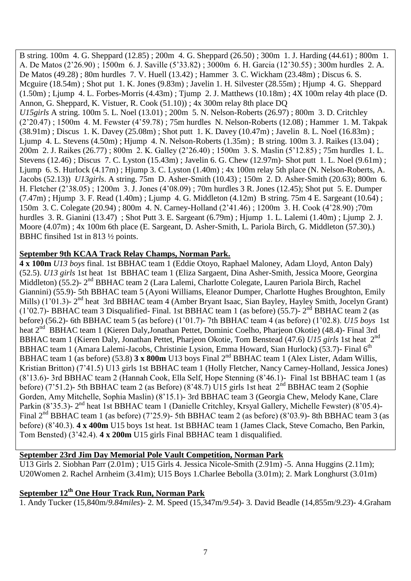B string. 100m 4. G. Sheppard (12.85) ; 200m 4. G. Sheppard (26.50) ; 300m 1. J. Harding (44.61) ; 800m 1. A. De Matos (2'26.90) ; 1500m 6. J. Saville (5'33.82) ; 3000m 6. H. Garcia (12'30.55) ; 300m hurdles 2. A. De Matos (49.28) ; 80m hurdles 7. V. Huell (13.42) ; Hammer 3. C. Wickham (23.48m) ; Discus 6. S. Mcguire (18.54m) ; Shot put 1. K. Jones (9.83m) ; Javelin 1. H. Silvester (28.55m) ; Hjump 4. G. Sheppard  $(1.50m)$ ; Ljump 4. L. Forbes-Morris  $(4.43m)$ ; Tjump 2. J. Matthews  $(10.18m)$ ;  $4X 100m$  relay 4th place (D. Annon, G. Sheppard, K. Vistuer, R. Cook (51.10)) ; 4x 300m relay 8th place DQ *U15girls* A string. 100m 5. L. Noel (13.01) ; 200m 5. N. Nelson-Roberts (26.97) ; 800m 3. D. Critchley (2'20.47) ; 1500m 4. M. Fewster (4'59.78) ; 75m hurdles N. Nelson-Roberts (12.08) ; Hammer 1. M. Takpak (38.91m) ; Discus 1. K. Davey (25.08m) ; Shot putt 1. K. Davey (10.47m) ; Javelin 8. L. Noel (16.83m) ; Ljump 4. L. Stevens (4.50m) ; Hjump 4. N. Nelson-Roberts (1.35m) ; B string. 100m 3. J. Raikes (13.04) ; 200m 2. J. Raikes (26.77) ; 800m 2. K. Galley (2'26.40) ; 1500m 3. S. Maslin (5'12.85) ; 75m hurdles 1. L. Stevens (12.46) ; Discus 7. C. Lyston (15.43m) ; Javelin 6. G. Chew (12.97m)- Shot putt 1. L. Noel (9.61m) ; Ljump 6. S. Hurlock (4.17m) ; Hjump 3. C. Lyston (1.40m) ; 4x 100m relay 5th place (N. Nelson-Roberts, A. Jacobs (52.13)) *U13girls*. A string. 75m D. Asher-Smith (10.43) ; 150m 2. D. Asher-Smith (20.63); 800m 6. H. Fletcher (2'38.05) ; 1200m 3. J. Jones (4'08.09) ; 70m hurdles 3 R. Jones (12.45); Shot put 5. E. Dumper  $(7.47m)$ ; Hjump 3. F. Read  $(1.40m)$ ; Ljump 4. G. Middleton  $(4.12m)$  B string. 75m 4 E. Sargeant  $(10.64)$ ; 150m 3. C. Colegate (20.94) ; 800m 4. N. Carney-Holland (2'41.46) ; 1200m 3. H. Cook (4'28.90) ;70m hurdles 3. R. Gianini (13.47) ; Shot Putt 3. E. Sargeant (6.79m) ; Hjump 1. L. Lalemi (1.40m) ; Ljump 2. J. Moore (4.07m) ; 4x 100m 6th place (E. Sargeant, D. Asher-Smith, L. Pariola Birch, G. Middleton (57.30).) BBHC finsihed 1st in 813 ½ points.

### **September 9th KCAA Track Relay Champs, Norman Park.**

**4 x 100m** *U13 boys* final. 1st BBHAC team 1 (Eddie Otoyo, Raphael Maloney, Adam Lloyd, Anton Daly) (52.5). *U13 girls* 1st heat 1st BBHAC team 1 (Eliza Sargaent, Dina Asher-Smith, Jessica Moore, Georgina Middleton) (55.2)- 2<sup>nd</sup> BBHAC team 2 (Lara Lalemi, Charlotte Colegate, Lauren Pariola Birch, Rachel Giannini) (55.9)- 5th BBHAC team 5 (Ayoni Williams, Eleanor Dumper, Charlotte Hughes Broughton, Emily Mills) (1'01.3)- 2<sup>nd</sup> heat 3rd BBHAC team 4 (Amber Bryant Isaac, Sian Bayley, Hayley Smith, Jocelyn Grant)  $(1'02.7)$ - BBHAC team 3 Disqualified- Final. 1st BBHAC team 1 (as before) (55.7)-  $2<sup>nd</sup>$  BBHAC team 2 (as before) (56.2)- 6th BBHAC team 5 (as before) (1'01.7)- 7th BBHAC team 4 (as before) (1'02.8). *U15 boys* 1st heat 2<sup>nd</sup> BBHAC team 1 (Kieren Daly, Jonathan Pettet, Dominic Coelho, Pharjeon Okotie) (48.4)- Final 3rd BBHAC team 1 (Kieren Daly, Jonathan Pettet, Pharjeon Okotie, Tom Benstead (47.6) *U15 girls* 1st heat 2nd BBHAC team 1 (Amara Lalemi-Jacobs, Christinie Lysion, Emma Howard, Sian Hurlock) (53.7)- Final 6<sup>th</sup> BBHAC team 1 (as before) (53.8) **3 x 800m** U13 boys Final 2<sup>nd</sup> BBHAC team 1 (Alex Lister, Adam Willis, Kristian Britton) (7'41.5) U13 girls 1st BBHAC team 1 (Holly Fletcher, Nancy Carney-Holland, Jessica Jones) (8'13.6)- 3rd BBHAC team 2 (Hannah Cook, Ella Self, Hope Stenning (8'46.1)- Final 1st BBHAC team 1 (as before) (7'51.2)- 5th BBHAC team 2 (as Before) (8'48.7) U15 girls 1st heat  $2^{nd}$  BBHAC team 2 (Sophie Gorden, Amy Mitchelle, Sophia Maslin) (8'15.1)- 3rd BBHAC team 3 (Georgia Chew, Melody Kane, Clare Parkin (8'35.3)- 2<sup>nd</sup> heat 1st BBHAC team 1 (Danielle Critchley, Krsyal Gallery, Michelle Fewster) (8'05.4)-Final  $2^{nd}$  BBHAC team 1 (as before) (7'25.9)- 5th BBHAC team 2 (as before) (8'03.9)- 8th BBHAC team 3 (as before) (8'40.3). **4 x 400m** U15 boys 1st heat. 1st BBHAC team 1 (James Clack, Steve Comacho, Ben Parkin, Tom Bensted) (3'42.4). **4 x 200m** U15 girls Final BBHAC team 1 disqualified.

### **September 23rd Jim Day Memorial Pole Vault Competition, Norman Park**

U13 Girls 2. Siobhan Parr (2.01m) ; U15 Girls 4. Jessica Nicole-Smith (2.91m) -5. Anna Huggins (2.11m); U20Women 2. Rachel Arnheim (3.41m); U15 Boys 1.Charlee Bebolla (3.01m); 2. Mark Longhurst (3.01m)

# **September 12th One Hour Track Run, Norman Park**

1. Andy Tucker (15,840m/*9.84miles*)- 2. M. Speed (15,347m/*9.54*)- 3. David Beadle (14,855m/*9.23*)- 4.Graham